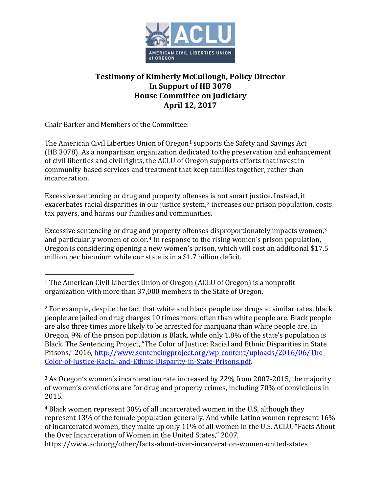

## **Testimony of Kimberly McCullough, Policy Director In Support of HB 3078 House Committee on Judiciary April 12, 2017**

Chair Barker and Members of the Committee:

The American Civil Liberties Union of Oregon<sup>[1](#page-0-0)</sup> supports the Safety and Savings Act (HB 3078). As a nonpartisan organization dedicated to the preservation and enhancement of civil liberties and civil rights, the ACLU of Oregon supports efforts that invest in community-based services and treatment that keep families together, rather than incarceration.

Excessive sentencing or drug and property offenses is not smart justice. Instead, it exacerbates racial disparities in our justice system,<sup>[2](#page-0-1)</sup> increases our prison population, costs tax payers, and harms our families and communities.

Excessive sentencing or drug an[d](#page-0-3) property offenses disproportionately impacts women,<sup>[3](#page-0-2)</sup> and particularly women of color.<sup>4</sup> In response to the rising women's prison population, Oregon is considering opening a new women's prison, which will cost an additional \$17.5 million per biennium while our state is in a \$1.7 billion deficit.

<span id="page-0-2"></span><sup>3</sup> As Oregon's women's incarceration rate increased by 22% from 2007-2015, the majority of women's convictions are for drug and property crimes, including 70% of convictions in 2015.

<span id="page-0-3"></span><sup>4</sup> Black women represent 30% of all incarcerated women in the U.S, although they represent 13% of the female population generally. And while Latino women represent 16% of incarcerated women, they make up only 11% of all women in the U.S. ACLU, "Facts About the Over Incarceration of Women in the United States," 2007, <https://www.aclu.org/other/facts-about-over-incarceration-women-united-states>

<span id="page-0-0"></span> <sup>1</sup> The American Civil Liberties Union of Oregon (ACLU of Oregon) is a nonprofit organization with more than 37,000 members in the State of Oregon.

<span id="page-0-1"></span><sup>&</sup>lt;sup>2</sup> For example, despite the fact that white and black people use drugs at similar rates, black people are jailed on drug charges 10 times more often than white people are. Black people are also three times more likely to be arrested for marijuana than white people are. In Oregon, 9% of the prison population is Black, while only 1.8% of the state's population is Black. The Sentencing Project, "The Color of Justice: Racial and Ethnic Disparities in State Prisons," 2016, [http://www.sentencingproject.org/wp-content/uploads/2016/06/The-](http://www.sentencingproject.org/wp-content/uploads/2016/06/The-Color-of-Justice-Racial-and-Ethnic-Disparity-in-State-Prisons.pdf)[Color-of-Justice-Racial-and-Ethnic-Disparity-in-State-Prisons.pdf.](http://www.sentencingproject.org/wp-content/uploads/2016/06/The-Color-of-Justice-Racial-and-Ethnic-Disparity-in-State-Prisons.pdf)